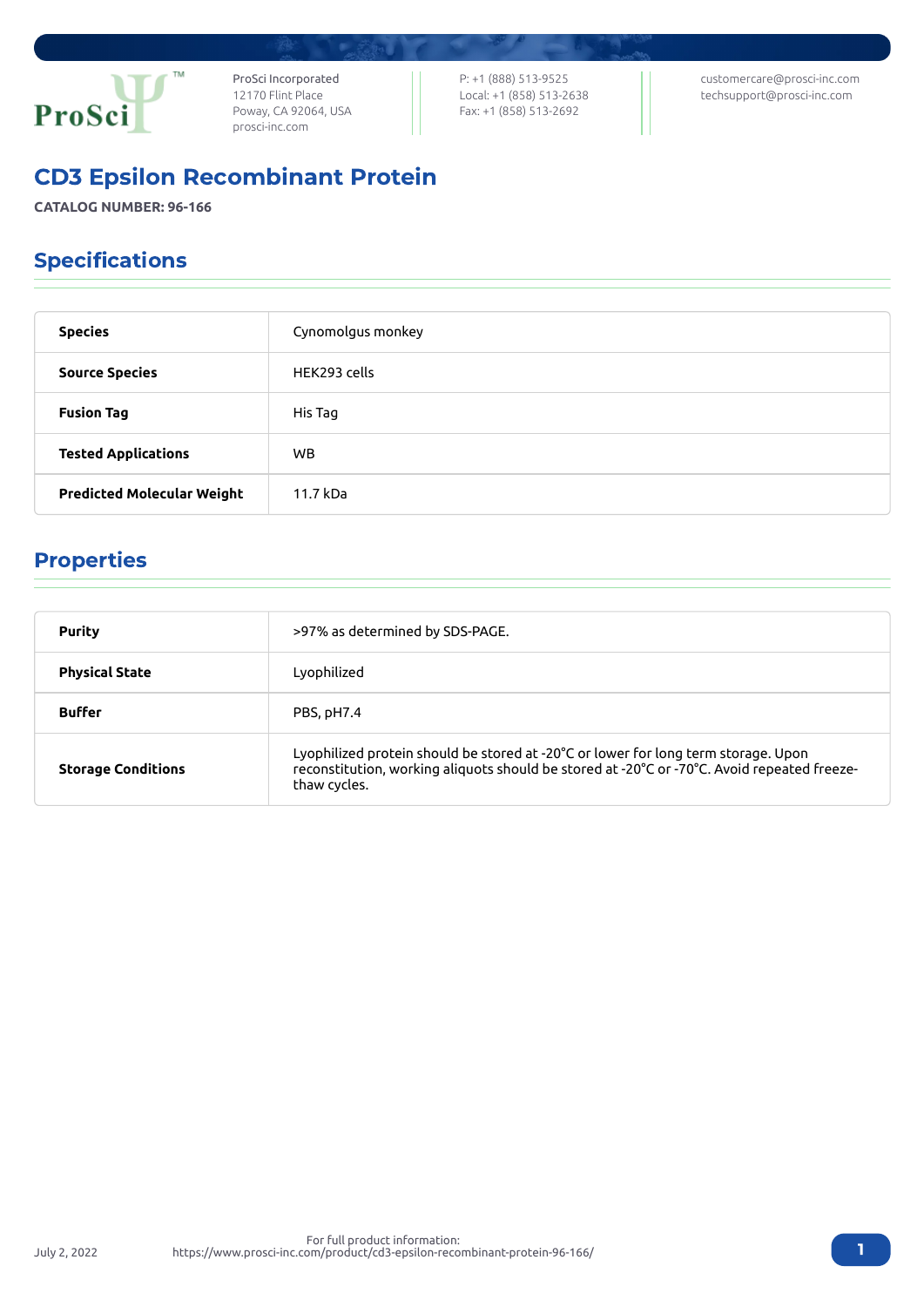

ProSci Incorporated 12170 Flint Place Poway, CA 92064, USA [prosci-inc.com](https://prosci-inc.com/)

P: +1 (888) 513-9525 Local: +1 (858) 513-2638 Fax: +1 (858) 513-2692

[customercare@prosci-inc.com](mailto:customercare@prosci-inc.com) [techsupport@prosci-inc.com](mailto:techsupport@prosci-inc.com)

# CD3 Epsilon Recombinant Protein

**CATALOG NUMBER: 96-166**

# Specifications

| <b>Species</b>                    | Cynomolgus monkey |
|-----------------------------------|-------------------|
| <b>Source Species</b>             | HEK293 cells      |
| <b>Fusion Tag</b>                 | His Tag           |
| <b>Tested Applications</b>        | WB.               |
| <b>Predicted Molecular Weight</b> | 11.7 kDa          |

## Properties

| <b>Purity</b>             | >97% as determined by SDS-PAGE.                                                                                                                                                                   |
|---------------------------|---------------------------------------------------------------------------------------------------------------------------------------------------------------------------------------------------|
| <b>Physical State</b>     | Lyophilized                                                                                                                                                                                       |
| <b>Buffer</b>             | PBS, pH7.4                                                                                                                                                                                        |
| <b>Storage Conditions</b> | Lyophilized protein should be stored at -20°C or lower for long term storage. Upon<br>reconstitution, working aliquots should be stored at -20°C or -70°C. Avoid repeated freeze-<br>thaw cycles. |